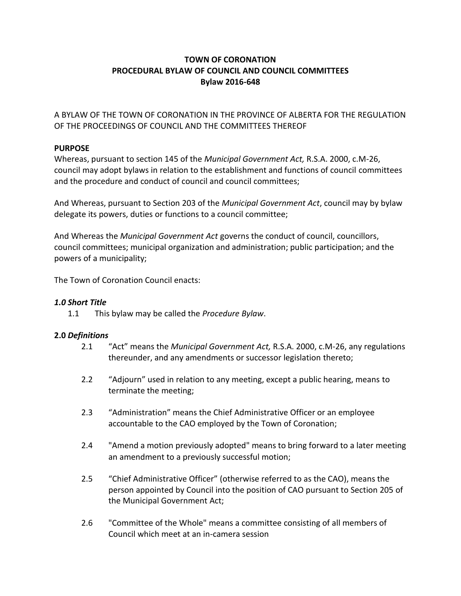# **TOWN OF CORONATION PROCEDURAL BYLAW OF COUNCIL AND COUNCIL COMMITTEES Bylaw 2016-648**

A BYLAW OF THE TOWN OF CORONATION IN THE PROVINCE OF ALBERTA FOR THE REGULATION OF THE PROCEEDINGS OF COUNCIL AND THE COMMITTEES THEREOF

# **PURPOSE**

Whereas, pursuant to section 145 of the *Municipal Government Act,* R.S.A. 2000, c.M-26, council may adopt bylaws in relation to the establishment and functions of council committees and the procedure and conduct of council and council committees;

And Whereas, pursuant to Section 203 of the *Municipal Government Act*, council may by bylaw delegate its powers, duties or functions to a council committee;

And Whereas the *Municipal Government Act* governs the conduct of council, councillors, council committees; municipal organization and administration; public participation; and the powers of a municipality;

The Town of Coronation Council enacts:

# *1.0 Short Title*

1.1 This bylaw may be called the *Procedure Bylaw*.

## **2.0** *Definitions*

- 2.1 "Act" means the *Municipal Government Act,* R.S.A. 2000, c.M-26, any regulations thereunder, and any amendments or successor legislation thereto;
- 2.2 "Adjourn" used in relation to any meeting, except a public hearing, means to terminate the meeting;
- 2.3 "Administration" means the Chief Administrative Officer or an employee accountable to the CAO employed by the Town of Coronation;
- 2.4 "Amend a motion previously adopted" means to bring forward to a later meeting an amendment to a previously successful motion;
- 2.5 "Chief Administrative Officer" (otherwise referred to as the CAO), means the person appointed by Council into the position of CAO pursuant to Section 205 of the Municipal Government Act;
- 2.6 "Committee of the Whole" means a committee consisting of all members of Council which meet at an in-camera session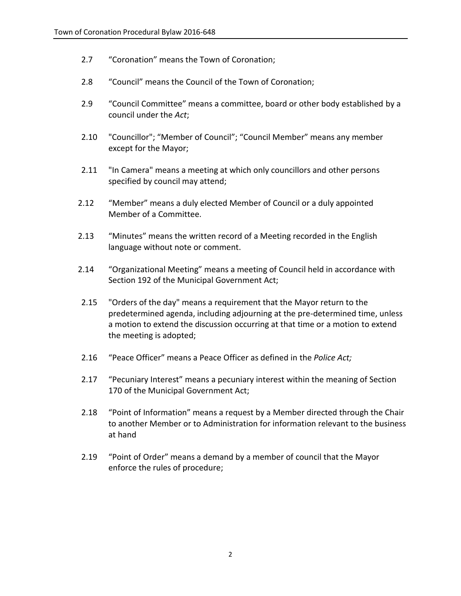- 2.7 "Coronation" means the Town of Coronation;
- 2.8 "Council" means the Council of the Town of Coronation;
- 2.9 "Council Committee" means a committee, board or other body established by a council under the *Act*;
- 2.10 "Councillor"; "Member of Council"; "Council Member" means any member except for the Mayor;
- 2.11 "In Camera" means a meeting at which only councillors and other persons specified by council may attend;
- 2.12 "Member" means a duly elected Member of Council or a duly appointed Member of a Committee.
- 2.13 "Minutes" means the written record of a Meeting recorded in the English language without note or comment.
- 2.14 "Organizational Meeting" means a meeting of Council held in accordance with Section 192 of the Municipal Government Act;
- 2.15 "Orders of the day" means a requirement that the Mayor return to the predetermined agenda, including adjourning at the pre-determined time, unless a motion to extend the discussion occurring at that time or a motion to extend the meeting is adopted;
- 2.16 "Peace Officer" means a Peace Officer as defined in the *Police Act;*
- 2.17 "Pecuniary Interest" means a pecuniary interest within the meaning of Section 170 of the Municipal Government Act;
- 2.18 "Point of Information" means a request by a Member directed through the Chair to another Member or to Administration for information relevant to the business at hand
- 2.19 "Point of Order" means a demand by a member of council that the Mayor enforce the rules of procedure;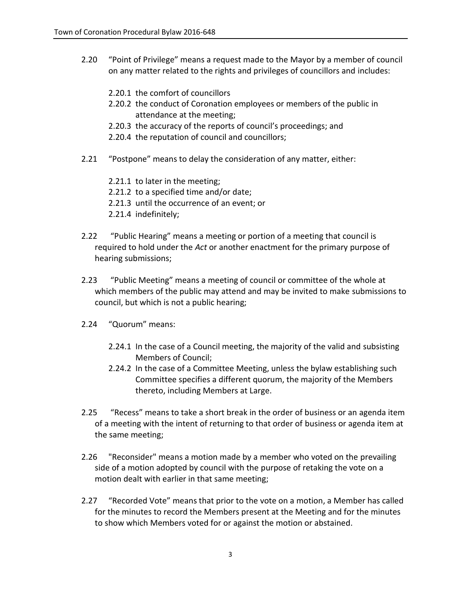- 2.20 "Point of Privilege" means a request made to the Mayor by a member of council on any matter related to the rights and privileges of councillors and includes:
	- 2.20.1 the comfort of councillors
	- 2.20.2 the conduct of Coronation employees or members of the public in attendance at the meeting;
	- 2.20.3 the accuracy of the reports of council's proceedings; and
	- 2.20.4 the reputation of council and councillors;
- 2.21 "Postpone" means to delay the consideration of any matter, either:
	- 2.21.1 to later in the meeting;
	- 2.21.2 to a specified time and/or date;
	- 2.21.3 until the occurrence of an event; or
	- 2.21.4 indefinitely;
- 2.22 "Public Hearing" means a meeting or portion of a meeting that council is required to hold under the *Act* or another enactment for the primary purpose of hearing submissions;
- 2.23 "Public Meeting" means a meeting of council or committee of the whole at which members of the public may attend and may be invited to make submissions to council, but which is not a public hearing;
- 2.24 "Quorum" means:
	- 2.24.1 In the case of a Council meeting, the majority of the valid and subsisting Members of Council;
	- 2.24.2 In the case of a Committee Meeting, unless the bylaw establishing such Committee specifies a different quorum, the majority of the Members thereto, including Members at Large.
- 2.25 "Recess" means to take a short break in the order of business or an agenda item of a meeting with the intent of returning to that order of business or agenda item at the same meeting;
- 2.26 "Reconsider" means a motion made by a member who voted on the prevailing side of a motion adopted by council with the purpose of retaking the vote on a motion dealt with earlier in that same meeting;
- 2.27 "Recorded Vote" means that prior to the vote on a motion, a Member has called for the minutes to record the Members present at the Meeting and for the minutes to show which Members voted for or against the motion or abstained.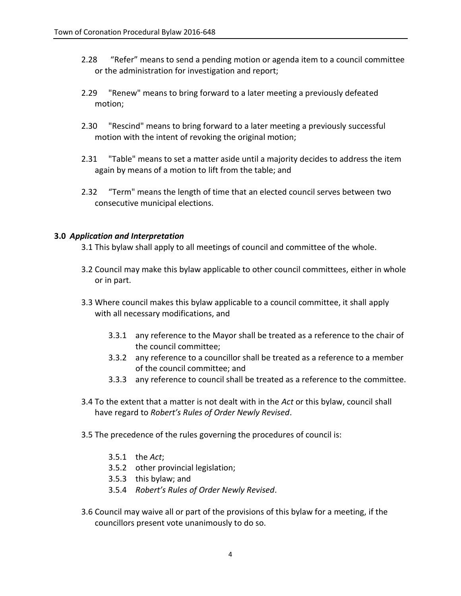- 2.28 "Refer" means to send a pending motion or agenda item to a council committee or the administration for investigation and report;
- 2.29 "Renew" means to bring forward to a later meeting a previously defeated motion;
- 2.30 "Rescind" means to bring forward to a later meeting a previously successful motion with the intent of revoking the original motion;
- 2.31 "Table" means to set a matter aside until a majority decides to address the item again by means of a motion to lift from the table; and
- 2.32 "Term" means the length of time that an elected council serves between two consecutive municipal elections.

## **3.0** *Application and Interpretation*

- 3.1 This bylaw shall apply to all meetings of council and committee of the whole.
- 3.2 Council may make this bylaw applicable to other council committees, either in whole or in part.
- 3.3 Where council makes this bylaw applicable to a council committee, it shall apply with all necessary modifications, and
	- 3.3.1 any reference to the Mayor shall be treated as a reference to the chair of the council committee;
	- 3.3.2 any reference to a councillor shall be treated as a reference to a member of the council committee; and
	- 3.3.3 any reference to council shall be treated as a reference to the committee.
- 3.4 To the extent that a matter is not dealt with in the *Act* or this bylaw, council shall have regard to *Robert's Rules of Order Newly Revised*.
- 3.5 The precedence of the rules governing the procedures of council is:
	- 3.5.1 the *Act*;
	- 3.5.2 other provincial legislation;
	- 3.5.3 this bylaw; and
	- 3.5.4 *Robert's Rules of Order Newly Revised*.
- 3.6 Council may waive all or part of the provisions of this bylaw for a meeting, if the councillors present vote unanimously to do so.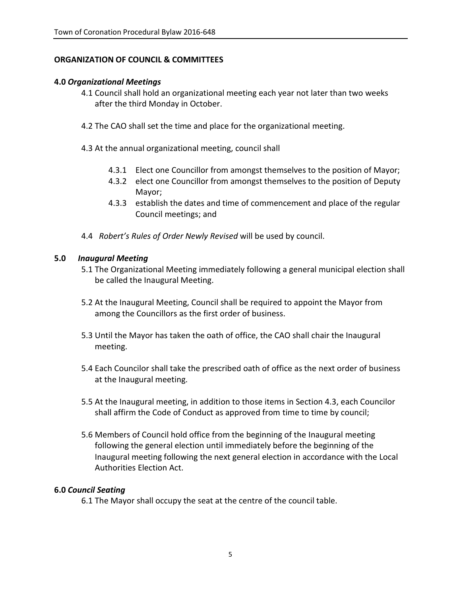## **ORGANIZATION OF COUNCIL & COMMITTEES**

## **4.0** *Organizational Meetings*

- 4.1 Council shall hold an organizational meeting each year not later than two weeks after the third Monday in October.
- 4.2 The CAO shall set the time and place for the organizational meeting.
- 4.3 At the annual organizational meeting, council shall
	- 4.3.1 Elect one Councillor from amongst themselves to the position of Mayor;
	- 4.3.2 elect one Councillor from amongst themselves to the position of Deputy Mayor;
	- 4.3.3 establish the dates and time of commencement and place of the regular Council meetings; and
- 4.4 *Robert's Rules of Order Newly Revised* will be used by council.

#### **5.0** *Inaugural Meeting*

- 5.1 The Organizational Meeting immediately following a general municipal election shall be called the Inaugural Meeting.
- 5.2 At the Inaugural Meeting, Council shall be required to appoint the Mayor from among the Councillors as the first order of business.
- 5.3 Until the Mayor has taken the oath of office, the CAO shall chair the Inaugural meeting.
- 5.4 Each Councilor shall take the prescribed oath of office as the next order of business at the Inaugural meeting.
- 5.5 At the Inaugural meeting, in addition to those items in Section 4.3, each Councilor shall affirm the Code of Conduct as approved from time to time by council;
- 5.6 Members of Council hold office from the beginning of the Inaugural meeting following the general election until immediately before the beginning of the Inaugural meeting following the next general election in accordance with the Local Authorities Election Act.

## **6.0** *Council Seating*

6.1 The Mayor shall occupy the seat at the centre of the council table.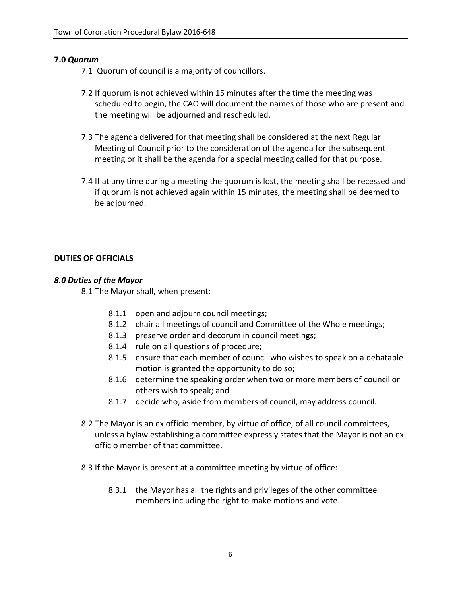## **7.0** *Quorum*

7.1 Quorum of council is a majority of councillors.

- 7.2 If quorum is not achieved within 15 minutes after the time the meeting was scheduled to begin, the CAO will document the names of those who are present and the meeting will be adjourned and rescheduled.
- 7.3 The agenda delivered for that meeting shall be considered at the next Regular Meeting of Council prior to the consideration of the agenda for the subsequent meeting or it shall be the agenda for a special meeting called for that purpose.
- 7.4 If at any time during a meeting the quorum is lost, the meeting shall be recessed and if quorum is not achieved again within 15 minutes, the meeting shall be deemed to be adjourned.

## **DUTIES OF OFFICIALS**

## *8.0 Duties of the Mayor*

8.1 The Mayor shall, when present:

- 8.1.1 open and adjourn council meetings;
- 8.1.2 chair all meetings of council and Committee of the Whole meetings;
- 8.1.3 preserve order and decorum in council meetings;
- 8.1.4 rule on all questions of procedure;
- 8.1.5 ensure that each member of council who wishes to speak on a debatable motion is granted the opportunity to do so;
- 8.1.6 determine the speaking order when two or more members of council or others wish to speak; and
- 8.1.7 decide who, aside from members of council, may address council.
- 8.2 The Mayor is an ex officio member, by virtue of office, of all council committees, unless a bylaw establishing a committee expressly states that the Mayor is not an ex officio member of that committee.
- 8.3 If the Mayor is present at a committee meeting by virtue of office:
	- 8.3.1 the Mayor has all the rights and privileges of the other committee members including the right to make motions and vote.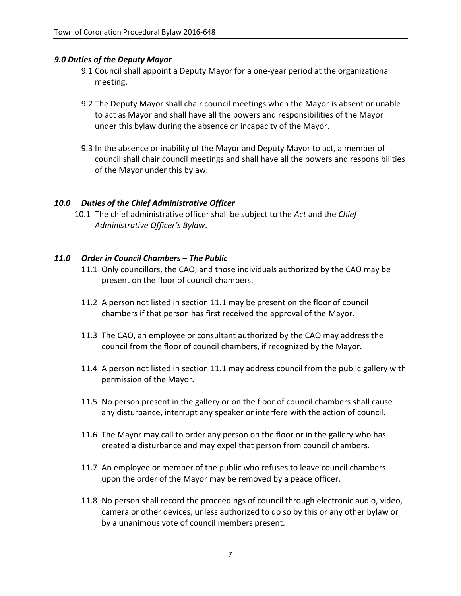## *9.0 Duties of the Deputy Mayor*

- 9.1 Council shall appoint a Deputy Mayor for a one-year period at the organizational meeting.
- 9.2 The Deputy Mayor shall chair council meetings when the Mayor is absent or unable to act as Mayor and shall have all the powers and responsibilities of the Mayor under this bylaw during the absence or incapacity of the Mayor.
- 9.3 In the absence or inability of the Mayor and Deputy Mayor to act, a member of council shall chair council meetings and shall have all the powers and responsibilities of the Mayor under this bylaw.

## *10.0 Duties of the Chief Administrative Officer*

10.1 The chief administrative officer shall be subject to the *Act* and the *Chief Administrative Officer's Bylaw*.

## *11.0 Order in Council Chambers – The Public*

- 11.1 Only councillors, the CAO, and those individuals authorized by the CAO may be present on the floor of council chambers.
- 11.2 A person not listed in section 11.1 may be present on the floor of council chambers if that person has first received the approval of the Mayor.
- 11.3 The CAO, an employee or consultant authorized by the CAO may address the council from the floor of council chambers, if recognized by the Mayor.
- 11.4 A person not listed in section 11.1 may address council from the public gallery with permission of the Mayor.
- 11.5 No person present in the gallery or on the floor of council chambers shall cause any disturbance, interrupt any speaker or interfere with the action of council.
- 11.6 The Mayor may call to order any person on the floor or in the gallery who has created a disturbance and may expel that person from council chambers.
- 11.7 An employee or member of the public who refuses to leave council chambers upon the order of the Mayor may be removed by a peace officer.
- 11.8 No person shall record the proceedings of council through electronic audio, video, camera or other devices, unless authorized to do so by this or any other bylaw or by a unanimous vote of council members present.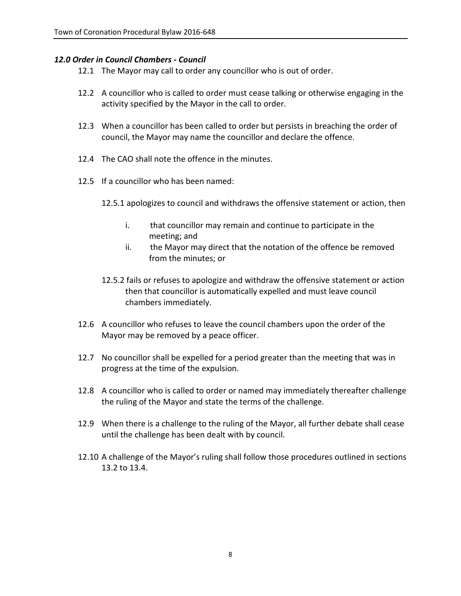## *12.0 Order in Council Chambers - Council*

- 12.1 The Mayor may call to order any councillor who is out of order.
- 12.2 A councillor who is called to order must cease talking or otherwise engaging in the activity specified by the Mayor in the call to order.
- 12.3 When a councillor has been called to order but persists in breaching the order of council, the Mayor may name the councillor and declare the offence.
- 12.4 The CAO shall note the offence in the minutes.
- 12.5 If a councillor who has been named:
	- 12.5.1 apologizes to council and withdraws the offensive statement or action, then
		- i. that councillor may remain and continue to participate in the meeting; and
		- ii. the Mayor may direct that the notation of the offence be removed from the minutes; or
	- 12.5.2 fails or refuses to apologize and withdraw the offensive statement or action then that councillor is automatically expelled and must leave council chambers immediately.
- 12.6 A councillor who refuses to leave the council chambers upon the order of the Mayor may be removed by a peace officer.
- 12.7 No councillor shall be expelled for a period greater than the meeting that was in progress at the time of the expulsion.
- 12.8 A councillor who is called to order or named may immediately thereafter challenge the ruling of the Mayor and state the terms of the challenge.
- 12.9 When there is a challenge to the ruling of the Mayor, all further debate shall cease until the challenge has been dealt with by council.
- 12.10 A challenge of the Mayor's ruling shall follow those procedures outlined in sections 13.2 to 13.4.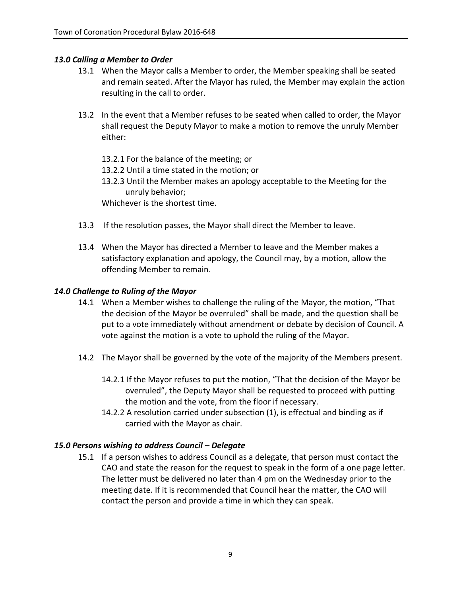## *13.0 Calling a Member to Order*

- 13.1 When the Mayor calls a Member to order, the Member speaking shall be seated and remain seated. After the Mayor has ruled, the Member may explain the action resulting in the call to order.
- 13.2 In the event that a Member refuses to be seated when called to order, the Mayor shall request the Deputy Mayor to make a motion to remove the unruly Member either:
	- 13.2.1 For the balance of the meeting; or 13.2.2 Until a time stated in the motion; or 13.2.3 Until the Member makes an apology acceptable to the Meeting for the unruly behavior;

Whichever is the shortest time.

- 13.3 If the resolution passes, the Mayor shall direct the Member to leave.
- 13.4 When the Mayor has directed a Member to leave and the Member makes a satisfactory explanation and apology, the Council may, by a motion, allow the offending Member to remain.

#### *14.0 Challenge to Ruling of the Mayor*

- 14.1 When a Member wishes to challenge the ruling of the Mayor, the motion, "That the decision of the Mayor be overruled" shall be made, and the question shall be put to a vote immediately without amendment or debate by decision of Council. A vote against the motion is a vote to uphold the ruling of the Mayor.
- 14.2 The Mayor shall be governed by the vote of the majority of the Members present.
	- 14.2.1 If the Mayor refuses to put the motion, "That the decision of the Mayor be overruled", the Deputy Mayor shall be requested to proceed with putting the motion and the vote, from the floor if necessary.
	- 14.2.2 A resolution carried under subsection (1), is effectual and binding as if carried with the Mayor as chair.

## *15.0 Persons wishing to address Council – Delegate*

15.1 If a person wishes to address Council as a delegate, that person must contact the CAO and state the reason for the request to speak in the form of a one page letter. The letter must be delivered no later than 4 pm on the Wednesday prior to the meeting date. If it is recommended that Council hear the matter, the CAO will contact the person and provide a time in which they can speak.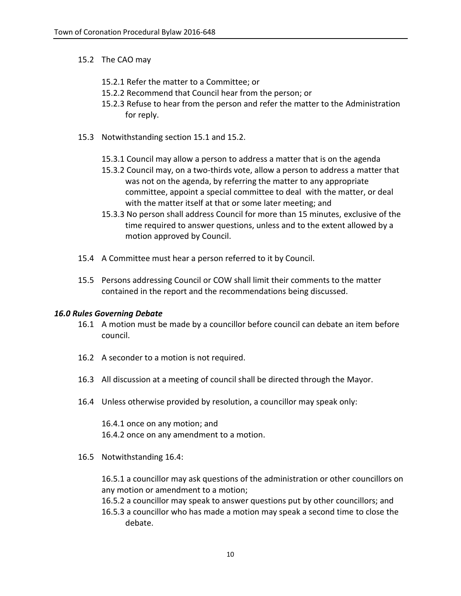## 15.2 The CAO may

- 15.2.1 Refer the matter to a Committee; or
- 15.2.2 Recommend that Council hear from the person; or
- 15.2.3 Refuse to hear from the person and refer the matter to the Administration for reply.
- 15.3 Notwithstanding section 15.1 and 15.2.
	- 15.3.1 Council may allow a person to address a matter that is on the agenda
	- 15.3.2 Council may, on a two-thirds vote, allow a person to address a matter that was not on the agenda, by referring the matter to any appropriate committee, appoint a special committee to deal with the matter, or deal with the matter itself at that or some later meeting; and
	- 15.3.3 No person shall address Council for more than 15 minutes, exclusive of the time required to answer questions, unless and to the extent allowed by a motion approved by Council.
- 15.4 A Committee must hear a person referred to it by Council.
- 15.5 Persons addressing Council or COW shall limit their comments to the matter contained in the report and the recommendations being discussed.

## *16.0 Rules Governing Debate*

- 16.1 A motion must be made by a councillor before council can debate an item before council.
- 16.2 A seconder to a motion is not required.
- 16.3 All discussion at a meeting of council shall be directed through the Mayor.
- 16.4 Unless otherwise provided by resolution, a councillor may speak only:

16.4.1 once on any motion; and 16.4.2 once on any amendment to a motion.

16.5 Notwithstanding 16.4:

16.5.1 a councillor may ask questions of the administration or other councillors on any motion or amendment to a motion;

16.5.2 a councillor may speak to answer questions put by other councillors; and 16.5.3 a councillor who has made a motion may speak a second time to close the debate.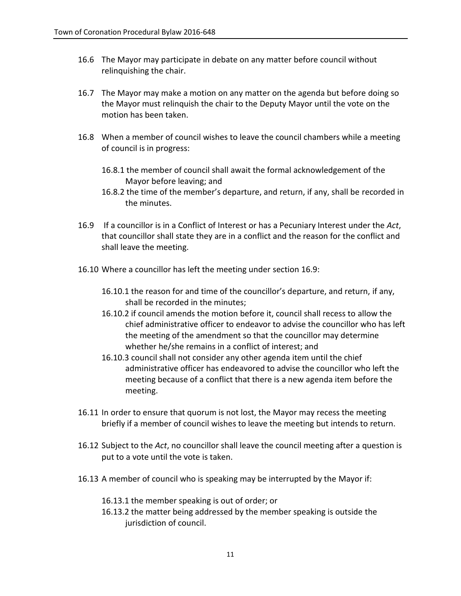- 16.6 The Mayor may participate in debate on any matter before council without relinquishing the chair.
- 16.7 The Mayor may make a motion on any matter on the agenda but before doing so the Mayor must relinquish the chair to the Deputy Mayor until the vote on the motion has been taken.
- 16.8 When a member of council wishes to leave the council chambers while a meeting of council is in progress:
	- 16.8.1 the member of council shall await the formal acknowledgement of the Mayor before leaving; and
	- 16.8.2 the time of the member's departure, and return, if any, shall be recorded in the minutes.
- 16.9 If a councillor is in a Conflict of Interest or has a Pecuniary Interest under the *Act*, that councillor shall state they are in a conflict and the reason for the conflict and shall leave the meeting.
- 16.10 Where a councillor has left the meeting under section 16.9:
	- 16.10.1 the reason for and time of the councillor's departure, and return, if any, shall be recorded in the minutes;
	- 16.10.2 if council amends the motion before it, council shall recess to allow the chief administrative officer to endeavor to advise the councillor who has left the meeting of the amendment so that the councillor may determine whether he/she remains in a conflict of interest; and
	- 16.10.3 council shall not consider any other agenda item until the chief administrative officer has endeavored to advise the councillor who left the meeting because of a conflict that there is a new agenda item before the meeting.
- 16.11 In order to ensure that quorum is not lost, the Mayor may recess the meeting briefly if a member of council wishes to leave the meeting but intends to return.
- 16.12 Subject to the *Act*, no councillor shall leave the council meeting after a question is put to a vote until the vote is taken.
- 16.13 A member of council who is speaking may be interrupted by the Mayor if:
	- 16.13.1 the member speaking is out of order; or
	- 16.13.2 the matter being addressed by the member speaking is outside the jurisdiction of council.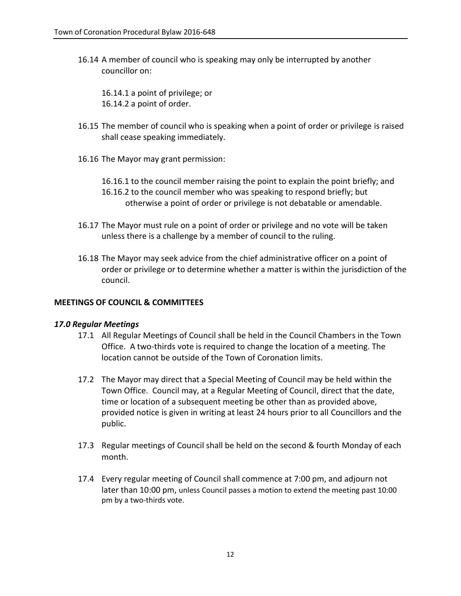16.14 A member of council who is speaking may only be interrupted by another councillor on:

16.14.1 a point of privilege; or 16.14.2 a point of order.

- 16.15 The member of council who is speaking when a point of order or privilege is raised shall cease speaking immediately.
- 16.16 The Mayor may grant permission:

16.16.1 to the council member raising the point to explain the point briefly; and 16.16.2 to the council member who was speaking to respond briefly; but otherwise a point of order or privilege is not debatable or amendable.

- 16.17 The Mayor must rule on a point of order or privilege and no vote will be taken unless there is a challenge by a member of council to the ruling.
- 16.18 The Mayor may seek advice from the chief administrative officer on a point of order or privilege or to determine whether a matter is within the jurisdiction of the council.

### **MEETINGS OF COUNCIL & COMMITTEES**

#### *17.0 Regular Meetings*

- 17.1 All Regular Meetings of Council shall be held in the Council Chambers in the Town Office. A two-thirds vote is required to change the location of a meeting. The location cannot be outside of the Town of Coronation limits.
- 17.2 The Mayor may direct that a Special Meeting of Council may be held within the Town Office. Council may, at a Regular Meeting of Council, direct that the date, time or location of a subsequent meeting be other than as provided above, provided notice is given in writing at least 24 hours prior to all Councillors and the public.
- 17.3 Regular meetings of Council shall be held on the second & fourth Monday of each month.
- 17.4 Every regular meeting of Council shall commence at 7:00 pm, and adjourn not later than 10:00 pm, unless Council passes a motion to extend the meeting past 10:00 pm by a two-thirds vote.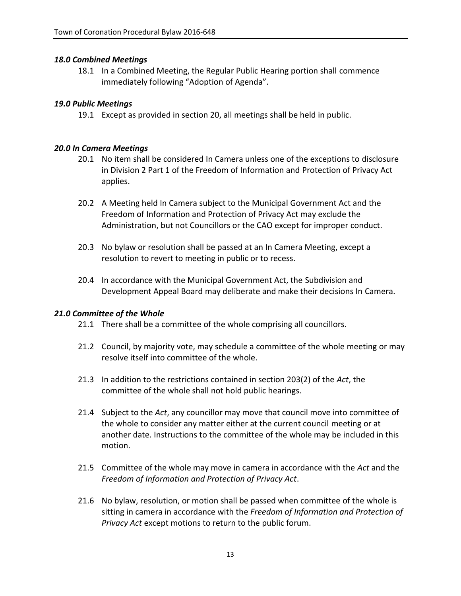## *18.0 Combined Meetings*

18.1 In a Combined Meeting, the Regular Public Hearing portion shall commence immediately following "Adoption of Agenda".

## *19.0 Public Meetings*

19.1 Except as provided in section 20, all meetings shall be held in public.

## *20.0 In Camera Meetings*

- 20.1 No item shall be considered In Camera unless one of the exceptions to disclosure in Division 2 Part 1 of the Freedom of Information and Protection of Privacy Act applies.
- 20.2 A Meeting held In Camera subject to the Municipal Government Act and the Freedom of Information and Protection of Privacy Act may exclude the Administration, but not Councillors or the CAO except for improper conduct.
- 20.3 No bylaw or resolution shall be passed at an In Camera Meeting, except a resolution to revert to meeting in public or to recess.
- 20.4 In accordance with the Municipal Government Act, the Subdivision and Development Appeal Board may deliberate and make their decisions In Camera.

## *21.0 Committee of the Whole*

- 21.1 There shall be a committee of the whole comprising all councillors.
- 21.2 Council, by majority vote, may schedule a committee of the whole meeting or may resolve itself into committee of the whole.
- 21.3 In addition to the restrictions contained in section 203(2) of the *Act*, the committee of the whole shall not hold public hearings.
- 21.4 Subject to the *Act*, any councillor may move that council move into committee of the whole to consider any matter either at the current council meeting or at another date. Instructions to the committee of the whole may be included in this motion.
- 21.5 Committee of the whole may move in camera in accordance with the *Act* and the *Freedom of Information and Protection of Privacy Act*.
- 21.6 No bylaw, resolution, or motion shall be passed when committee of the whole is sitting in camera in accordance with the *Freedom of Information and Protection of Privacy Act* except motions to return to the public forum.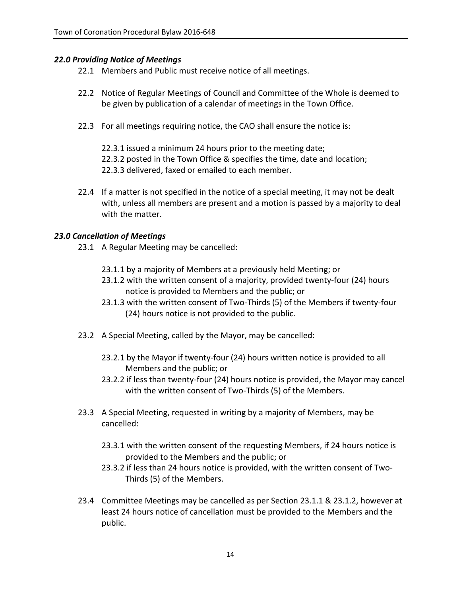## *22.0 Providing Notice of Meetings*

- 22.1 Members and Public must receive notice of all meetings.
- 22.2 Notice of Regular Meetings of Council and Committee of the Whole is deemed to be given by publication of a calendar of meetings in the Town Office.
- 22.3 For all meetings requiring notice, the CAO shall ensure the notice is:

22.3.1 issued a minimum 24 hours prior to the meeting date; 22.3.2 posted in the Town Office & specifies the time, date and location; 22.3.3 delivered, faxed or emailed to each member.

22.4 If a matter is not specified in the notice of a special meeting, it may not be dealt with, unless all members are present and a motion is passed by a majority to deal with the matter.

## *23.0 Cancellation of Meetings*

- 23.1 A Regular Meeting may be cancelled:
	- 23.1.1 by a majority of Members at a previously held Meeting; or
	- 23.1.2 with the written consent of a majority, provided twenty-four (24) hours notice is provided to Members and the public; or
	- 23.1.3 with the written consent of Two-Thirds (5) of the Members if twenty-four (24) hours notice is not provided to the public.
- 23.2 A Special Meeting, called by the Mayor, may be cancelled:
	- 23.2.1 by the Mayor if twenty-four (24) hours written notice is provided to all Members and the public; or
	- 23.2.2 if less than twenty-four (24) hours notice is provided, the Mayor may cancel with the written consent of Two-Thirds (5) of the Members.
- 23.3 A Special Meeting, requested in writing by a majority of Members, may be cancelled:
	- 23.3.1 with the written consent of the requesting Members, if 24 hours notice is provided to the Members and the public; or
	- 23.3.2 if less than 24 hours notice is provided, with the written consent of Two-Thirds (5) of the Members.
- 23.4 Committee Meetings may be cancelled as per Section 23.1.1 & 23.1.2, however at least 24 hours notice of cancellation must be provided to the Members and the public.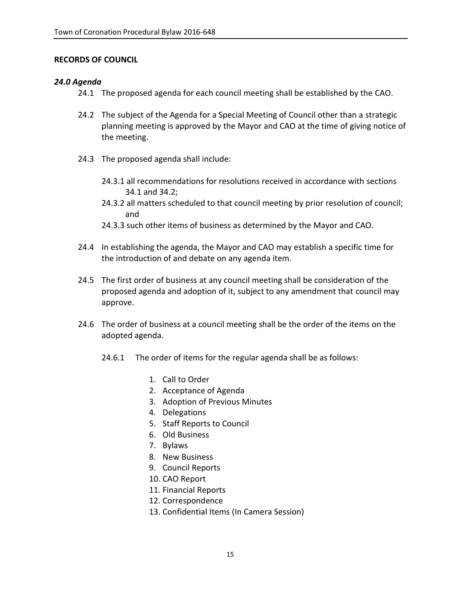## **RECORDS OF COUNCIL**

## *24.0 Agenda*

- 24.1 The proposed agenda for each council meeting shall be established by the CAO.
- 24.2 The subject of the Agenda for a Special Meeting of Council other than a strategic planning meeting is approved by the Mayor and CAO at the time of giving notice of the meeting.
- 24.3 The proposed agenda shall include:
	- 24.3.1 all recommendations for resolutions received in accordance with sections 34.1 and 34.2;
	- 24.3.2 all matters scheduled to that council meeting by prior resolution of council; and
	- 24.3.3 such other items of business as determined by the Mayor and CAO.
- 24.4 In establishing the agenda, the Mayor and CAO may establish a specific time for the introduction of and debate on any agenda item.
- 24.5 The first order of business at any council meeting shall be consideration of the proposed agenda and adoption of it, subject to any amendment that council may approve.
- 24.6 The order of business at a council meeting shall be the order of the items on the adopted agenda.
	- 24.6.1 The order of items for the regular agenda shall be as follows:
		- 1. Call to Order
		- 2. Acceptance of Agenda
		- 3. Adoption of Previous Minutes
		- 4. Delegations
		- 5. Staff Reports to Council
		- 6. Old Business
		- 7. Bylaws
		- 8. New Business
		- 9. Council Reports
		- 10. CAO Report
		- 11. Financial Reports
		- 12. Correspondence
		- 13. Confidential Items (In Camera Session)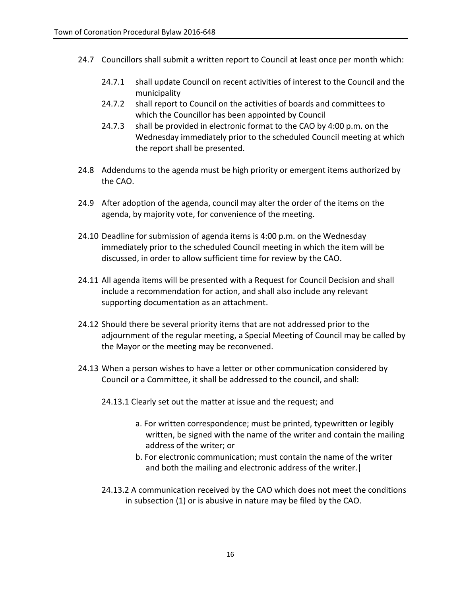- 24.7 Councillors shall submit a written report to Council at least once per month which:
	- 24.7.1 shall update Council on recent activities of interest to the Council and the municipality
	- 24.7.2 shall report to Council on the activities of boards and committees to which the Councillor has been appointed by Council
	- 24.7.3 shall be provided in electronic format to the CAO by 4:00 p.m. on the Wednesday immediately prior to the scheduled Council meeting at which the report shall be presented.
- 24.8 Addendums to the agenda must be high priority or emergent items authorized by the CAO.
- 24.9 After adoption of the agenda, council may alter the order of the items on the agenda, by majority vote, for convenience of the meeting.
- 24.10 Deadline for submission of agenda items is 4:00 p.m. on the Wednesday immediately prior to the scheduled Council meeting in which the item will be discussed, in order to allow sufficient time for review by the CAO.
- 24.11 All agenda items will be presented with a Request for Council Decision and shall include a recommendation for action, and shall also include any relevant supporting documentation as an attachment.
- 24.12 Should there be several priority items that are not addressed prior to the adjournment of the regular meeting, a Special Meeting of Council may be called by the Mayor or the meeting may be reconvened.
- 24.13 When a person wishes to have a letter or other communication considered by Council or a Committee, it shall be addressed to the council, and shall:
	- 24.13.1 Clearly set out the matter at issue and the request; and
		- a. For written correspondence; must be printed, typewritten or legibly written, be signed with the name of the writer and contain the mailing address of the writer; or
		- b. For electronic communication; must contain the name of the writer and both the mailing and electronic address of the writer.|
	- 24.13.2 A communication received by the CAO which does not meet the conditions in subsection (1) or is abusive in nature may be filed by the CAO.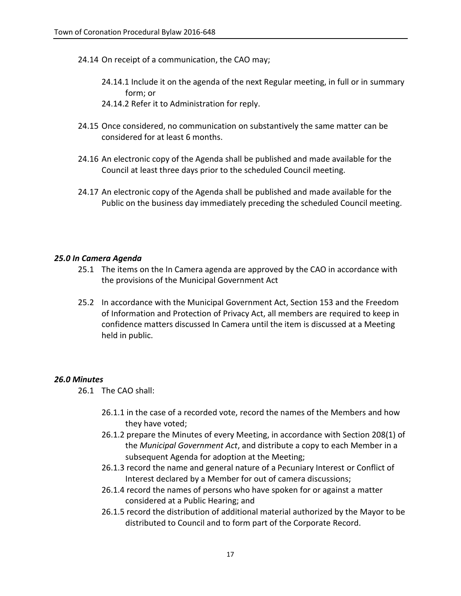- 24.14 On receipt of a communication, the CAO may;
	- 24.14.1 Include it on the agenda of the next Regular meeting, in full or in summary form; or
	- 24.14.2 Refer it to Administration for reply.
- 24.15 Once considered, no communication on substantively the same matter can be considered for at least 6 months.
- 24.16 An electronic copy of the Agenda shall be published and made available for the Council at least three days prior to the scheduled Council meeting.
- 24.17 An electronic copy of the Agenda shall be published and made available for the Public on the business day immediately preceding the scheduled Council meeting.

## *25.0 In Camera Agenda*

- 25.1 The items on the In Camera agenda are approved by the CAO in accordance with the provisions of the Municipal Government Act
- 25.2 In accordance with the Municipal Government Act, Section 153 and the Freedom of Information and Protection of Privacy Act, all members are required to keep in confidence matters discussed In Camera until the item is discussed at a Meeting held in public.

## *26.0 Minutes*

- 26.1 The CAO shall:
	- 26.1.1 in the case of a recorded vote, record the names of the Members and how they have voted;
	- 26.1.2 prepare the Minutes of every Meeting, in accordance with Section 208(1) of the *Municipal Government Act*, and distribute a copy to each Member in a subsequent Agenda for adoption at the Meeting;
	- 26.1.3 record the name and general nature of a Pecuniary Interest or Conflict of Interest declared by a Member for out of camera discussions;
	- 26.1.4 record the names of persons who have spoken for or against a matter considered at a Public Hearing; and
	- 26.1.5 record the distribution of additional material authorized by the Mayor to be distributed to Council and to form part of the Corporate Record.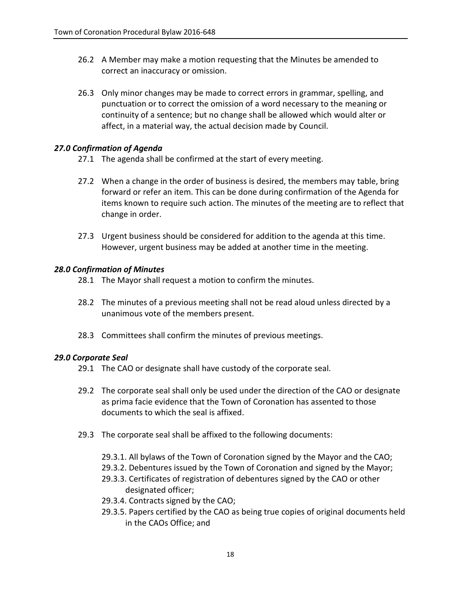- 26.2 A Member may make a motion requesting that the Minutes be amended to correct an inaccuracy or omission.
- 26.3 Only minor changes may be made to correct errors in grammar, spelling, and punctuation or to correct the omission of a word necessary to the meaning or continuity of a sentence; but no change shall be allowed which would alter or affect, in a material way, the actual decision made by Council.

#### *27.0 Confirmation of Agenda*

- 27.1 The agenda shall be confirmed at the start of every meeting.
- 27.2 When a change in the order of business is desired, the members may table, bring forward or refer an item. This can be done during confirmation of the Agenda for items known to require such action. The minutes of the meeting are to reflect that change in order.
- 27.3 Urgent business should be considered for addition to the agenda at this time. However, urgent business may be added at another time in the meeting.

#### *28.0 Confirmation of Minutes*

- 28.1 The Mayor shall request a motion to confirm the minutes.
- 28.2 The minutes of a previous meeting shall not be read aloud unless directed by a unanimous vote of the members present.
- 28.3 Committees shall confirm the minutes of previous meetings.

#### *29.0 Corporate Seal*

- 29.1 The CAO or designate shall have custody of the corporate seal.
- 29.2 The corporate seal shall only be used under the direction of the CAO or designate as prima facie evidence that the Town of Coronation has assented to those documents to which the seal is affixed.
- 29.3 The corporate seal shall be affixed to the following documents:
	- 29.3.1. All bylaws of the Town of Coronation signed by the Mayor and the CAO;
	- 29.3.2. Debentures issued by the Town of Coronation and signed by the Mayor;
	- 29.3.3. Certificates of registration of debentures signed by the CAO or other designated officer;
	- 29.3.4. Contracts signed by the CAO;
	- 29.3.5. Papers certified by the CAO as being true copies of original documents held in the CAOs Office; and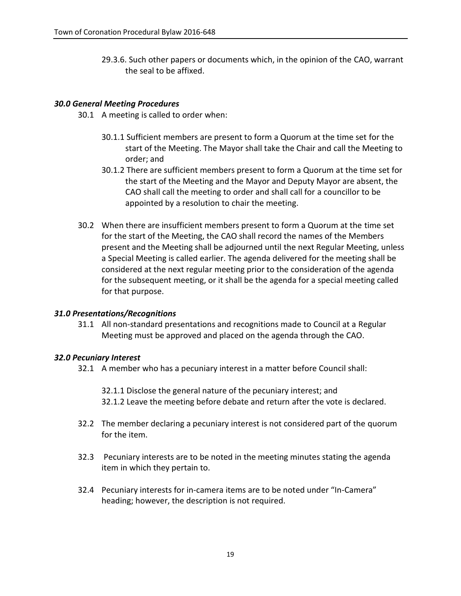29.3.6. Such other papers or documents which, in the opinion of the CAO, warrant the seal to be affixed.

## *30.0 General Meeting Procedures*

30.1 A meeting is called to order when:

- 30.1.1 Sufficient members are present to form a Quorum at the time set for the start of the Meeting. The Mayor shall take the Chair and call the Meeting to order; and
- 30.1.2 There are sufficient members present to form a Quorum at the time set for the start of the Meeting and the Mayor and Deputy Mayor are absent, the CAO shall call the meeting to order and shall call for a councillor to be appointed by a resolution to chair the meeting.
- 30.2 When there are insufficient members present to form a Quorum at the time set for the start of the Meeting, the CAO shall record the names of the Members present and the Meeting shall be adjourned until the next Regular Meeting, unless a Special Meeting is called earlier. The agenda delivered for the meeting shall be considered at the next regular meeting prior to the consideration of the agenda for the subsequent meeting, or it shall be the agenda for a special meeting called for that purpose.

## *31.0 Presentations/Recognitions*

31.1 All non-standard presentations and recognitions made to Council at a Regular Meeting must be approved and placed on the agenda through the CAO.

## *32.0 Pecuniary Interest*

- 32.1 A member who has a pecuniary interest in a matter before Council shall:
	- 32.1.1 Disclose the general nature of the pecuniary interest; and 32.1.2 Leave the meeting before debate and return after the vote is declared.
- 32.2 The member declaring a pecuniary interest is not considered part of the quorum for the item.
- 32.3 Pecuniary interests are to be noted in the meeting minutes stating the agenda item in which they pertain to.
- 32.4 Pecuniary interests for in-camera items are to be noted under "In-Camera" heading; however, the description is not required.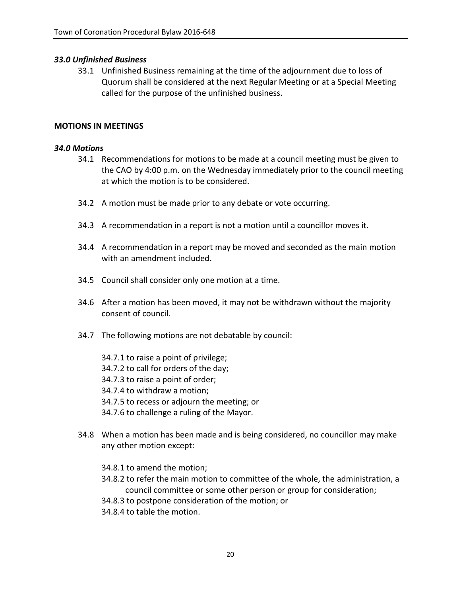## *33.0 Unfinished Business*

33.1 Unfinished Business remaining at the time of the adjournment due to loss of Quorum shall be considered at the next Regular Meeting or at a Special Meeting called for the purpose of the unfinished business.

#### **MOTIONS IN MEETINGS**

#### *34.0 Motions*

- 34.1 Recommendations for motions to be made at a council meeting must be given to the CAO by 4:00 p.m. on the Wednesday immediately prior to the council meeting at which the motion is to be considered.
- 34.2 A motion must be made prior to any debate or vote occurring.
- 34.3 A recommendation in a report is not a motion until a councillor moves it.
- 34.4 A recommendation in a report may be moved and seconded as the main motion with an amendment included.
- 34.5 Council shall consider only one motion at a time.
- 34.6 After a motion has been moved, it may not be withdrawn without the majority consent of council.
- 34.7 The following motions are not debatable by council:

34.7.1 to raise a point of privilege; 34.7.2 to call for orders of the day; 34.7.3 to raise a point of order; 34.7.4 to withdraw a motion; 34.7.5 to recess or adjourn the meeting; or 34.7.6 to challenge a ruling of the Mayor.

- 34.8 When a motion has been made and is being considered, no councillor may make any other motion except:
	- 34.8.1 to amend the motion;
	- 34.8.2 to refer the main motion to committee of the whole, the administration, a council committee or some other person or group for consideration;
	- 34.8.3 to postpone consideration of the motion; or
	- 34.8.4 to table the motion.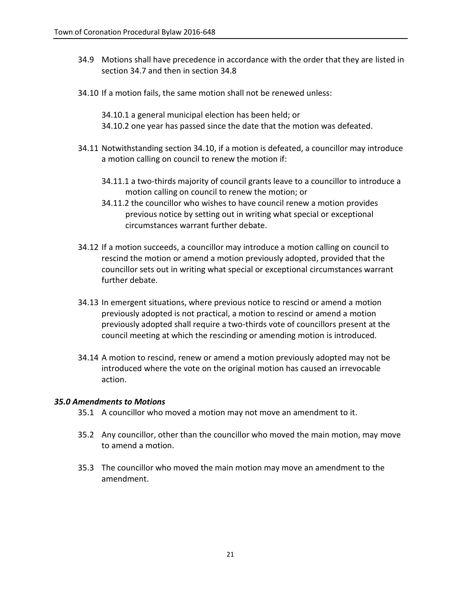- 34.9 Motions shall have precedence in accordance with the order that they are listed in section 34.7 and then in section 34.8
- 34.10 If a motion fails, the same motion shall not be renewed unless:
	- 34.10.1 a general municipal election has been held; or 34.10.2 one year has passed since the date that the motion was defeated.
- 34.11 Notwithstanding section 34.10, if a motion is defeated, a councillor may introduce a motion calling on council to renew the motion if:
	- 34.11.1 a two-thirds majority of council grants leave to a councillor to introduce a motion calling on council to renew the motion; or
	- 34.11.2 the councillor who wishes to have council renew a motion provides previous notice by setting out in writing what special or exceptional circumstances warrant further debate.
- 34.12 If a motion succeeds, a councillor may introduce a motion calling on council to rescind the motion or amend a motion previously adopted, provided that the councillor sets out in writing what special or exceptional circumstances warrant further debate.
- 34.13 In emergent situations, where previous notice to rescind or amend a motion previously adopted is not practical, a motion to rescind or amend a motion previously adopted shall require a two-thirds vote of councillors present at the council meeting at which the rescinding or amending motion is introduced.
- 34.14 A motion to rescind, renew or amend a motion previously adopted may not be introduced where the vote on the original motion has caused an irrevocable action.

#### *35.0 Amendments to Motions*

- 35.1 A councillor who moved a motion may not move an amendment to it.
- 35.2 Any councillor, other than the councillor who moved the main motion, may move to amend a motion.
- 35.3 The councillor who moved the main motion may move an amendment to the amendment.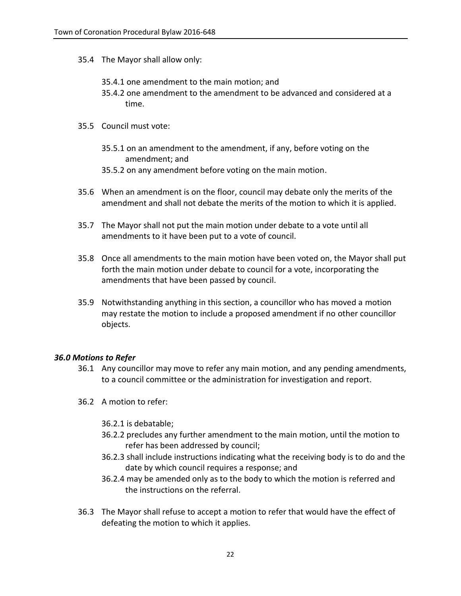- 35.4 The Mayor shall allow only:
	- 35.4.1 one amendment to the main motion; and
	- 35.4.2 one amendment to the amendment to be advanced and considered at a time.
- 35.5 Council must vote:
	- 35.5.1 on an amendment to the amendment, if any, before voting on the amendment; and
	- 35.5.2 on any amendment before voting on the main motion.
- 35.6 When an amendment is on the floor, council may debate only the merits of the amendment and shall not debate the merits of the motion to which it is applied.
- 35.7 The Mayor shall not put the main motion under debate to a vote until all amendments to it have been put to a vote of council.
- 35.8 Once all amendments to the main motion have been voted on, the Mayor shall put forth the main motion under debate to council for a vote, incorporating the amendments that have been passed by council.
- 35.9 Notwithstanding anything in this section, a councillor who has moved a motion may restate the motion to include a proposed amendment if no other councillor objects.

## *36.0 Motions to Refer*

- 36.1 Any councillor may move to refer any main motion, and any pending amendments, to a council committee or the administration for investigation and report.
- 36.2 A motion to refer:
	- 36.2.1 is debatable;
	- 36.2.2 precludes any further amendment to the main motion, until the motion to refer has been addressed by council;
	- 36.2.3 shall include instructions indicating what the receiving body is to do and the date by which council requires a response; and
	- 36.2.4 may be amended only as to the body to which the motion is referred and the instructions on the referral.
- 36.3 The Mayor shall refuse to accept a motion to refer that would have the effect of defeating the motion to which it applies.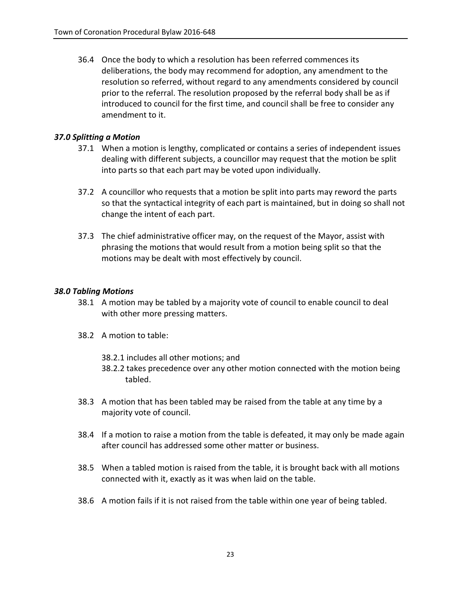36.4 Once the body to which a resolution has been referred commences its deliberations, the body may recommend for adoption, any amendment to the resolution so referred, without regard to any amendments considered by council prior to the referral. The resolution proposed by the referral body shall be as if introduced to council for the first time, and council shall be free to consider any amendment to it.

## *37.0 Splitting a Motion*

- 37.1 When a motion is lengthy, complicated or contains a series of independent issues dealing with different subjects, a councillor may request that the motion be split into parts so that each part may be voted upon individually.
- 37.2 A councillor who requests that a motion be split into parts may reword the parts so that the syntactical integrity of each part is maintained, but in doing so shall not change the intent of each part.
- 37.3 The chief administrative officer may, on the request of the Mayor, assist with phrasing the motions that would result from a motion being split so that the motions may be dealt with most effectively by council.

## *38.0 Tabling Motions*

- 38.1 A motion may be tabled by a majority vote of council to enable council to deal with other more pressing matters.
- 38.2 A motion to table:
	- 38.2.1 includes all other motions; and
	- 38.2.2 takes precedence over any other motion connected with the motion being tabled.
- 38.3 A motion that has been tabled may be raised from the table at any time by a majority vote of council.
- 38.4 If a motion to raise a motion from the table is defeated, it may only be made again after council has addressed some other matter or business.
- 38.5 When a tabled motion is raised from the table, it is brought back with all motions connected with it, exactly as it was when laid on the table.
- 38.6 A motion fails if it is not raised from the table within one year of being tabled.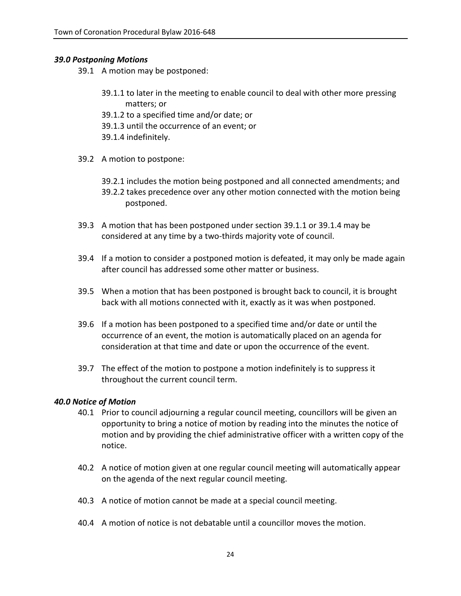## *39.0 Postponing Motions*

- 39.1 A motion may be postponed:
	- 39.1.1 to later in the meeting to enable council to deal with other more pressing matters; or
	- 39.1.2 to a specified time and/or date; or
	- 39.1.3 until the occurrence of an event; or
	- 39.1.4 indefinitely.
- 39.2 A motion to postpone:
	- 39.2.1 includes the motion being postponed and all connected amendments; and 39.2.2 takes precedence over any other motion connected with the motion being postponed.
- 39.3 A motion that has been postponed under section 39.1.1 or 39.1.4 may be considered at any time by a two-thirds majority vote of council.
- 39.4 If a motion to consider a postponed motion is defeated, it may only be made again after council has addressed some other matter or business.
- 39.5 When a motion that has been postponed is brought back to council, it is brought back with all motions connected with it, exactly as it was when postponed.
- 39.6 If a motion has been postponed to a specified time and/or date or until the occurrence of an event, the motion is automatically placed on an agenda for consideration at that time and date or upon the occurrence of the event.
- 39.7 The effect of the motion to postpone a motion indefinitely is to suppress it throughout the current council term.

## *40.0 Notice of Motion*

- 40.1 Prior to council adjourning a regular council meeting, councillors will be given an opportunity to bring a notice of motion by reading into the minutes the notice of motion and by providing the chief administrative officer with a written copy of the notice.
- 40.2 A notice of motion given at one regular council meeting will automatically appear on the agenda of the next regular council meeting.
- 40.3 A notice of motion cannot be made at a special council meeting.
- 40.4 A motion of notice is not debatable until a councillor moves the motion.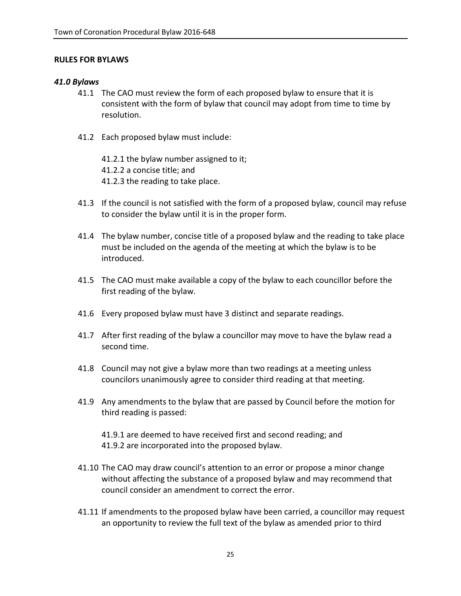## **RULES FOR BYLAWS**

## *41.0 Bylaws*

- 41.1 The CAO must review the form of each proposed bylaw to ensure that it is consistent with the form of bylaw that council may adopt from time to time by resolution.
- 41.2 Each proposed bylaw must include:

41.2.1 the bylaw number assigned to it; 41.2.2 a concise title; and 41.2.3 the reading to take place.

- 41.3 If the council is not satisfied with the form of a proposed bylaw, council may refuse to consider the bylaw until it is in the proper form.
- 41.4 The bylaw number, concise title of a proposed bylaw and the reading to take place must be included on the agenda of the meeting at which the bylaw is to be introduced.
- 41.5 The CAO must make available a copy of the bylaw to each councillor before the first reading of the bylaw.
- 41.6 Every proposed bylaw must have 3 distinct and separate readings.
- 41.7 After first reading of the bylaw a councillor may move to have the bylaw read a second time.
- 41.8 Council may not give a bylaw more than two readings at a meeting unless councilors unanimously agree to consider third reading at that meeting.
- 41.9 Any amendments to the bylaw that are passed by Council before the motion for third reading is passed:

41.9.1 are deemed to have received first and second reading; and 41.9.2 are incorporated into the proposed bylaw.

- 41.10 The CAO may draw council's attention to an error or propose a minor change without affecting the substance of a proposed bylaw and may recommend that council consider an amendment to correct the error.
- 41.11 If amendments to the proposed bylaw have been carried, a councillor may request an opportunity to review the full text of the bylaw as amended prior to third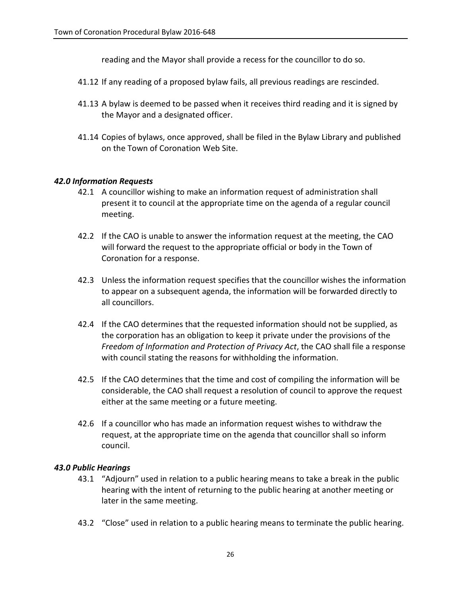reading and the Mayor shall provide a recess for the councillor to do so.

- 41.12 If any reading of a proposed bylaw fails, all previous readings are rescinded.
- 41.13 A bylaw is deemed to be passed when it receives third reading and it is signed by the Mayor and a designated officer.
- 41.14 Copies of bylaws, once approved, shall be filed in the Bylaw Library and published on the Town of Coronation Web Site.

## *42.0 Information Requests*

- 42.1 A councillor wishing to make an information request of administration shall present it to council at the appropriate time on the agenda of a regular council meeting.
- 42.2 If the CAO is unable to answer the information request at the meeting, the CAO will forward the request to the appropriate official or body in the Town of Coronation for a response.
- 42.3 Unless the information request specifies that the councillor wishes the information to appear on a subsequent agenda, the information will be forwarded directly to all councillors.
- 42.4 If the CAO determines that the requested information should not be supplied, as the corporation has an obligation to keep it private under the provisions of the *Freedom of Information and Protection of Privacy Act*, the CAO shall file a response with council stating the reasons for withholding the information.
- 42.5 If the CAO determines that the time and cost of compiling the information will be considerable, the CAO shall request a resolution of council to approve the request either at the same meeting or a future meeting.
- 42.6 If a councillor who has made an information request wishes to withdraw the request, at the appropriate time on the agenda that councillor shall so inform council.

# *43.0 Public Hearings*

- 43.1 "Adjourn" used in relation to a public hearing means to take a break in the public hearing with the intent of returning to the public hearing at another meeting or later in the same meeting.
- 43.2 "Close" used in relation to a public hearing means to terminate the public hearing.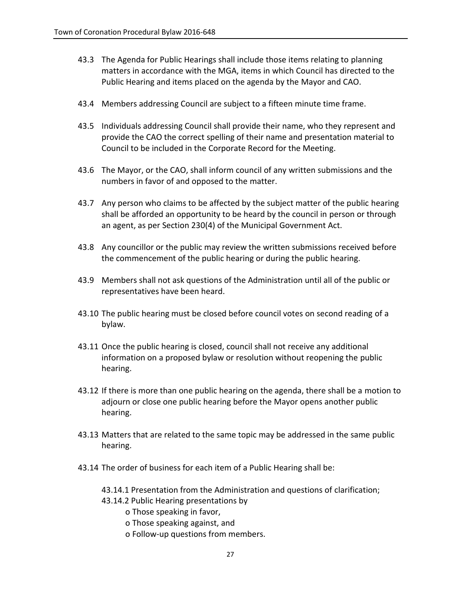- 43.3 The Agenda for Public Hearings shall include those items relating to planning matters in accordance with the MGA, items in which Council has directed to the Public Hearing and items placed on the agenda by the Mayor and CAO.
- 43.4 Members addressing Council are subject to a fifteen minute time frame.
- 43.5 Individuals addressing Council shall provide their name, who they represent and provide the CAO the correct spelling of their name and presentation material to Council to be included in the Corporate Record for the Meeting.
- 43.6 The Mayor, or the CAO, shall inform council of any written submissions and the numbers in favor of and opposed to the matter.
- 43.7 Any person who claims to be affected by the subject matter of the public hearing shall be afforded an opportunity to be heard by the council in person or through an agent, as per Section 230(4) of the Municipal Government Act.
- 43.8 Any councillor or the public may review the written submissions received before the commencement of the public hearing or during the public hearing.
- 43.9 Members shall not ask questions of the Administration until all of the public or representatives have been heard.
- 43.10 The public hearing must be closed before council votes on second reading of a bylaw.
- 43.11 Once the public hearing is closed, council shall not receive any additional information on a proposed bylaw or resolution without reopening the public hearing.
- 43.12 If there is more than one public hearing on the agenda, there shall be a motion to adjourn or close one public hearing before the Mayor opens another public hearing.
- 43.13 Matters that are related to the same topic may be addressed in the same public hearing.
- 43.14 The order of business for each item of a Public Hearing shall be:
	- 43.14.1 Presentation from the Administration and questions of clarification;
	- 43.14.2 Public Hearing presentations by
		- o Those speaking in favor,
		- o Those speaking against, and
		- o Follow-up questions from members.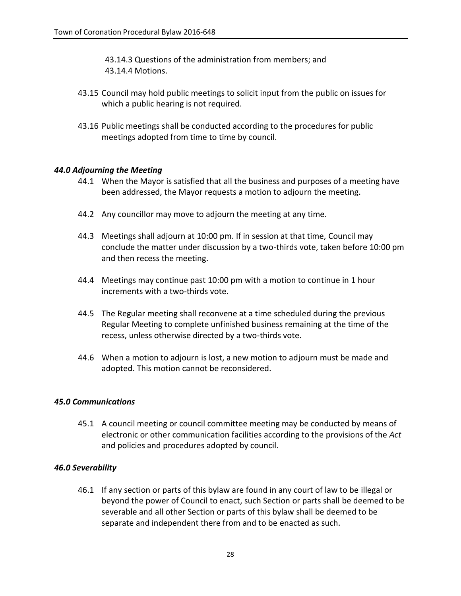43.14.3 Questions of the administration from members; and 43.14.4 Motions.

- 43.15 Council may hold public meetings to solicit input from the public on issues for which a public hearing is not required.
- 43.16 Public meetings shall be conducted according to the procedures for public meetings adopted from time to time by council.

## *44.0 Adjourning the Meeting*

- 44.1 When the Mayor is satisfied that all the business and purposes of a meeting have been addressed, the Mayor requests a motion to adjourn the meeting.
- 44.2 Any councillor may move to adjourn the meeting at any time.
- 44.3 Meetings shall adjourn at 10:00 pm. If in session at that time, Council may conclude the matter under discussion by a two-thirds vote, taken before 10:00 pm and then recess the meeting.
- 44.4 Meetings may continue past 10:00 pm with a motion to continue in 1 hour increments with a two-thirds vote.
- 44.5 The Regular meeting shall reconvene at a time scheduled during the previous Regular Meeting to complete unfinished business remaining at the time of the recess, unless otherwise directed by a two-thirds vote.
- 44.6 When a motion to adjourn is lost, a new motion to adjourn must be made and adopted. This motion cannot be reconsidered.

## *45.0 Communications*

45.1 A council meeting or council committee meeting may be conducted by means of electronic or other communication facilities according to the provisions of the *Act*  and policies and procedures adopted by council.

## *46.0 Severability*

46.1 If any section or parts of this bylaw are found in any court of law to be illegal or beyond the power of Council to enact, such Section or parts shall be deemed to be severable and all other Section or parts of this bylaw shall be deemed to be separate and independent there from and to be enacted as such.